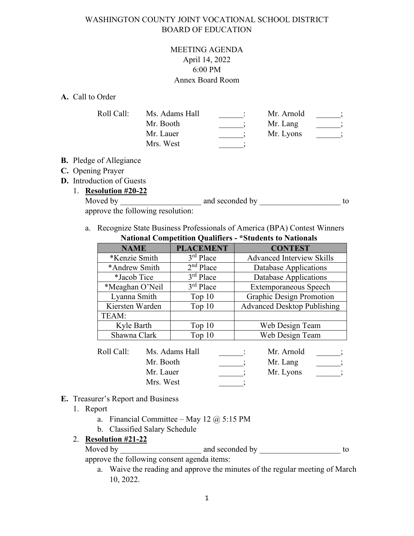### WASHINGTON COUNTY JOINT VOCATIONAL SCHOOL DISTRICT BOARD OF EDUCATION

### MEETING AGENDA April 14, 2022 6:00 PM Annex Board Room

### **A.** Call to Order

| Ms. Adams Hall | Mr. Arnold |  |
|----------------|------------|--|
| Mr. Booth      | Mr. Lang   |  |
| Mr. Lauer      | Mr. Lyons  |  |
| Mrs. West      |            |  |
|                |            |  |

### **B.** Pledge of Allegiance

## **C.** Opening Prayer

**D.** Introduction of Guests

## 1. **Resolution #20-22**

| Moved by                          | and seconded by |  |
|-----------------------------------|-----------------|--|
| approve the following resolution: |                 |  |

a. Recognize State Business Professionals of America (BPA) Contest Winners **National Competition Qualifiers - \*Students to Nationals** 

| <b>NAME</b>                                                                                                                                                                                                                                                                                      | <b>PLACEMENT</b>      | <b>CONTEST</b>                     |
|--------------------------------------------------------------------------------------------------------------------------------------------------------------------------------------------------------------------------------------------------------------------------------------------------|-----------------------|------------------------------------|
| *Kenzie Smith                                                                                                                                                                                                                                                                                    | $3rd$ Place           | <b>Advanced Interview Skills</b>   |
| *Andrew Smith                                                                                                                                                                                                                                                                                    | 2 <sup>nd</sup> Place | Database Applications              |
| *Jacob Tice                                                                                                                                                                                                                                                                                      | $3rd$ Place           | <b>Database Applications</b>       |
| *Meaghan O'Neil                                                                                                                                                                                                                                                                                  | $3rd$ Place           | <b>Extemporaneous Speech</b>       |
| Lyanna Smith                                                                                                                                                                                                                                                                                     | Top $10$              | Graphic Design Promotion           |
| Kiersten Warden                                                                                                                                                                                                                                                                                  | Top $10$              | <b>Advanced Desktop Publishing</b> |
| TEAM:                                                                                                                                                                                                                                                                                            |                       |                                    |
| Kyle Barth                                                                                                                                                                                                                                                                                       | Top $10$              | Web Design Team                    |
| Shawna Clark                                                                                                                                                                                                                                                                                     | Top $10$              | Web Design Team                    |
| $\mathbf{D}$ and $\mathbf{C}$ and $\mathbf{M}$ and $\mathbf{M}$ and $\mathbf{M}$ and $\mathbf{M}$ and $\mathbf{M}$ and $\mathbf{M}$ and $\mathbf{M}$ and $\mathbf{M}$ and $\mathbf{M}$ and $\mathbf{M}$ and $\mathbf{M}$ and $\mathbf{M}$ and $\mathbf{M}$ and $\mathbf{M}$ and $\mathbf{M}$ and |                       | <b>M</b> <i>M</i> <b>A</b> 11      |

| Roll Call: | Ms. Adams Hall | Mr. Arnold |  |
|------------|----------------|------------|--|
|            | Mr. Booth      | Mr. Lang   |  |
|            | Mr. Lauer      | Mr. Lyons  |  |
|            | Mrs. West      |            |  |

### **E.** Treasurer's Report and Business

- 1. Report
	- a. Financial Committee May 12  $@$  5:15 PM
	- b. Classified Salary Schedule

### 2. **Resolution #21-22**

Moved by \_\_\_\_\_\_\_\_\_\_\_\_\_\_\_\_\_\_\_\_ and seconded by \_\_\_\_\_\_\_\_\_\_\_\_\_\_\_\_\_\_\_\_ to approve the following consent agenda items:

a. Waive the reading and approve the minutes of the regular meeting of March 10, 2022.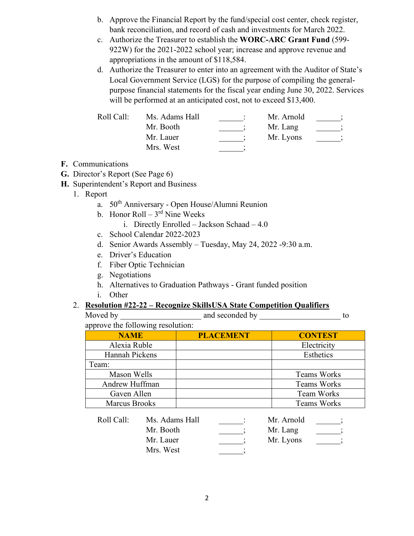- b. Approve the Financial Report by the fund/special cost center, check register, bank reconciliation, and record of cash and investments for March 2022.
- c. Authorize the Treasurer to establish the **WORC-ARC Grant Fund** (599- 922W) for the 2021-2022 school year; increase and approve revenue and appropriations in the amount of \$118,584.
- d. Authorize the Treasurer to enter into an agreement with the Auditor of State's Local Government Service (LGS) for the purpose of compiling the generalpurpose financial statements for the fiscal year ending June 30, 2022. Services will be performed at an anticipated cost, not to exceed \$13,400.

| Roll Call: | Ms. Adams Hall | Mr. Arnold |  |
|------------|----------------|------------|--|
|            | Mr. Booth      | Mr. Lang   |  |
|            | Mr. Lauer      | Mr. Lyons  |  |
|            | Mrs. West      |            |  |

- **F.** Communications
- **G.** Director's Report (See Page 6)
- **H.** Superintendent's Report and Business
	- 1. Report
		- a. 50th Anniversary Open House/Alumni Reunion
		- b. Honor  $Roll 3<sup>rd</sup>$  Nine Weeks
			- i. Directly Enrolled Jackson Schaad 4.0
		- c. School Calendar 2022-2023
		- d. Senior Awards Assembly Tuesday, May 24, 2022 -9:30 a.m.
		- e. Driver's Education
		- f. Fiber Optic Technician
		- g. Negotiations
		- h. Alternatives to Graduation Pathways Grant funded position
		- i. Other

### 2. **Resolution #22-22 – Recognize SkillsUSA State Competition Qualifiers**

| Moved by                          | and seconded by |  |
|-----------------------------------|-----------------|--|
| approve the following resolution: |                 |  |

| <b>NAME</b>          | <b>PLACEMENT</b> | <b>CONTEST</b>     |
|----------------------|------------------|--------------------|
| Alexia Ruble         |                  | Electricity        |
| Hannah Pickens       |                  | Esthetics          |
| Team:                |                  |                    |
| Mason Wells          |                  | <b>Teams Works</b> |
| Andrew Huffman       |                  | <b>Teams Works</b> |
| Gaven Allen          |                  | <b>Team Works</b>  |
| <b>Marcus Brooks</b> |                  | <b>Teams Works</b> |

| Roll Call: | Ms. Adams Hall | Mr. Arnold |  |
|------------|----------------|------------|--|
|            | Mr. Booth      | Mr. Lang   |  |
|            | Mr. Lauer      | Mr. Lyons  |  |
|            | Mrs. West      |            |  |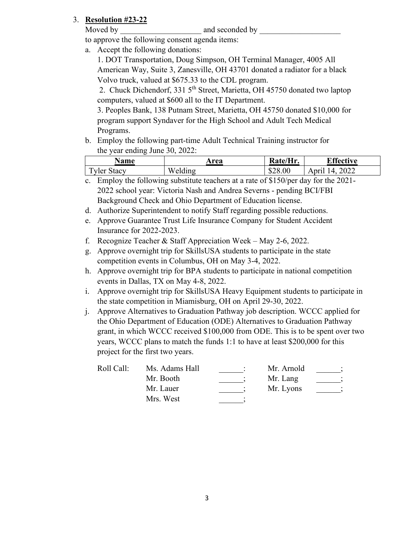## 3. **Resolution #23-22**

Moved by **and seconded by**  $\blacksquare$ 

to approve the following consent agenda items:

a. Accept the following donations:

1. DOT Transportation, Doug Simpson, OH Terminal Manager, 4005 All American Way, Suite 3, Zanesville, OH 43701 donated a radiator for a black Volvo truck, valued at \$675.33 to the CDL program.

2. Chuck Dichendorf, 331 5<sup>th</sup> Street, Marietta, OH 45750 donated two laptop computers, valued at \$600 all to the IT Department.

3. Peoples Bank, 138 Putnam Street, Marietta, OH 45750 donated \$10,000 for program support Syndaver for the High School and Adult Tech Medical Programs.

b. Employ the following part-time Adult Technical Training instructor for the year ending June 30, 2022:

| <b>Name</b>        | Area    | Rate/Hr. | $\nabla$ ffective         |
|--------------------|---------|----------|---------------------------|
| <b>Tyler Stacy</b> | Welding | \$28.00  | 2022<br>$\Delta$<br>Anril |

- c. Employ the following substitute teachers at a rate of \$150/per day for the 2021- 2022 school year: Victoria Nash and Andrea Severns - pending BCI/FBI Background Check and Ohio Department of Education license.
- d. Authorize Superintendent to notify Staff regarding possible reductions.
- e. Approve Guarantee Trust Life Insurance Company for Student Accident Insurance for 2022-2023.
- f. Recognize Teacher & Staff Appreciation Week May 2-6, 2022.
- g. Approve overnight trip for SkillsUSA students to participate in the state competition events in Columbus, OH on May 3-4, 2022.
- h. Approve overnight trip for BPA students to participate in national competition events in Dallas, TX on May 4-8, 2022.
- i. Approve overnight trip for SkillsUSA Heavy Equipment students to participate in the state competition in Miamisburg, OH on April 29-30, 2022.
- j. Approve Alternatives to Graduation Pathway job description. WCCC applied for the Ohio Department of Education (ODE) Alternatives to Graduation Pathway grant, in which WCCC received \$100,000 from ODE. This is to be spent over two years, WCCC plans to match the funds 1:1 to have at least \$200,000 for this project for the first two years.

| Roll Call: | Ms. Adams Hall | Mr. Arnold |  |
|------------|----------------|------------|--|
|            | Mr. Booth      | Mr. Lang   |  |
|            | Mr. Lauer      | Mr. Lyons  |  |
|            | Mrs. West      |            |  |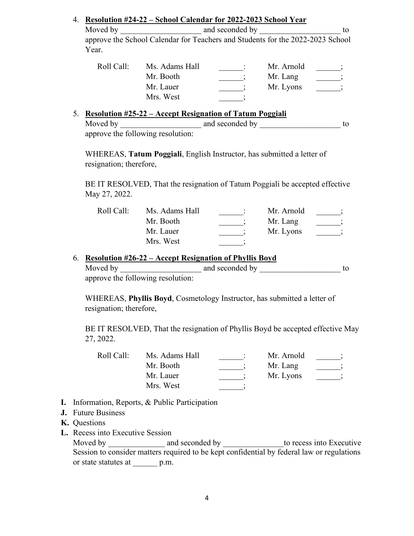| Moved by   |                                                                                | and seconded by |            | to |
|------------|--------------------------------------------------------------------------------|-----------------|------------|----|
|            | approve the School Calendar for Teachers and Students for the 2022-2023 School |                 |            |    |
| Year.      |                                                                                |                 |            |    |
| Roll Call: | Ms. Adams Hall                                                                 |                 | Mr. Arnold |    |
|            | Mr. Booth                                                                      |                 | Mr. Lang   |    |
|            | Mr. Lauer                                                                      |                 | Mr. Lyons  |    |
|            | Mrs. West                                                                      |                 |            |    |

|          | $\mathbf{R}$ resolution $\mathbf{R}$ $\mathbf{L}$ $\mathbf{L}$ incredit increditation of Talum Toggian |  |
|----------|--------------------------------------------------------------------------------------------------------|--|
| Moved by | and seconded by                                                                                        |  |

approve the following resolution:

WHEREAS, **Tatum Poggiali**, English Instructor, has submitted a letter of resignation; therefore,

BE IT RESOLVED, That the resignation of Tatum Poggiali be accepted effective May 27, 2022.

| Roll Call: | Ms. Adams Hall | Mr. Arnold |  |
|------------|----------------|------------|--|
|            | Mr. Booth      | Mr. Lang   |  |
|            | Mr. Lauer      | Mr. Lyons  |  |
|            | Mrs. West      |            |  |

### 6. **Resolution #26-22 – Accept Resignation of Phyllis Boyd**

| Moved by                          | and seconded by |  |
|-----------------------------------|-----------------|--|
| approve the following resolution: |                 |  |

WHEREAS, **Phyllis Boyd**, Cosmetology Instructor, has submitted a letter of resignation; therefore,

BE IT RESOLVED, That the resignation of Phyllis Boyd be accepted effective May 27, 2022.

| Roll Call: | Ms. Adams Hall | Mr. Arnold |  |
|------------|----------------|------------|--|
|            | Mr. Booth      | Mr. Lang   |  |
|            | Mr. Lauer      | Mr. Lyons  |  |
|            | Mrs. West      |            |  |

- **I.** Information, Reports, & Public Participation
- **J.** Future Business
- **K.** Questions
- **L.** Recess into Executive Session

Moved by \_\_\_\_\_\_\_\_\_\_\_\_\_\_\_\_\_ and seconded by \_\_\_\_\_\_\_\_\_\_\_\_\_\_\_\_\_to recess into Executive Session to consider matters required to be kept confidential by federal law or regulations or state statutes at \_\_\_\_\_\_ p.m.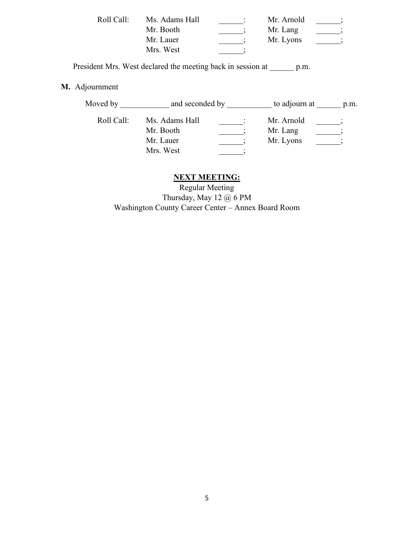| Roll Call: | Ms. Adams Hall | Mr. Arnold |  |
|------------|----------------|------------|--|
|            | Mr. Booth      | Mr. Lang   |  |
|            | Mr. Lauer      | Mr. Lyons  |  |
|            | Mrs. West      |            |  |

President Mrs. West declared the meeting back in session at \_\_\_\_\_\_ p.m.

## **M.** Adjournment

| Ms. Adams Hall<br>Roll Call:<br>Mr. Arnold<br>Mr. Booth<br>Mr. Lang<br>Mr. Lyons<br>Mr. Lauer | Moved by | and seconded by |  | to adjourn at | p.m. |  |
|-----------------------------------------------------------------------------------------------|----------|-----------------|--|---------------|------|--|
| Mrs. West                                                                                     |          |                 |  |               |      |  |

## **NEXT MEETING:**

Regular Meeting Thursday, May 12 @ 6 PM Washington County Career Center – Annex Board Room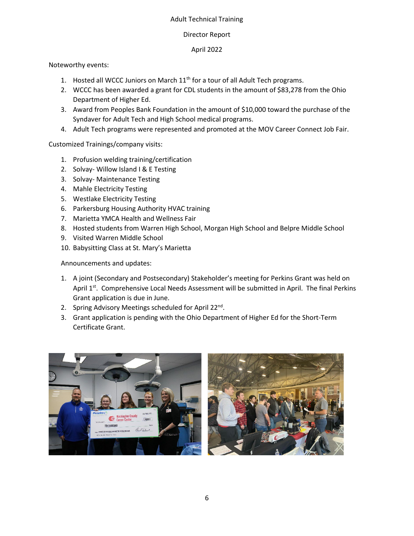### Adult Technical Training

### Director Report

### April 2022

### Noteworthy events:

- 1. Hosted all WCCC Juniors on March  $11<sup>th</sup>$  for a tour of all Adult Tech programs.
- 2. WCCC has been awarded a grant for CDL students in the amount of \$83,278 from the Ohio Department of Higher Ed.
- 3. Award from Peoples Bank Foundation in the amount of \$10,000 toward the purchase of the Syndaver for Adult Tech and High School medical programs.
- 4. Adult Tech programs were represented and promoted at the MOV Career Connect Job Fair.

Customized Trainings/company visits:

- 1. Profusion welding training/certification
- 2. Solvay- Willow Island I & E Testing
- 3. Solvay- Maintenance Testing
- 4. Mahle Electricity Testing
- 5. Westlake Electricity Testing
- 6. Parkersburg Housing Authority HVAC training
- 7. Marietta YMCA Health and Wellness Fair
- 8. Hosted students from Warren High School, Morgan High School and Belpre Middle School
- 9. Visited Warren Middle School
- 10. Babysitting Class at St. Mary's Marietta

Announcements and updates:

- 1. A joint (Secondary and Postsecondary) Stakeholder's meeting for Perkins Grant was held on April 1st. Comprehensive Local Needs Assessment will be submitted in April. The final Perkins Grant application is due in June.
- 2. Spring Advisory Meetings scheduled for April 22<sup>nd</sup>.
- 3. Grant application is pending with the Ohio Department of Higher Ed for the Short-Term Certificate Grant.